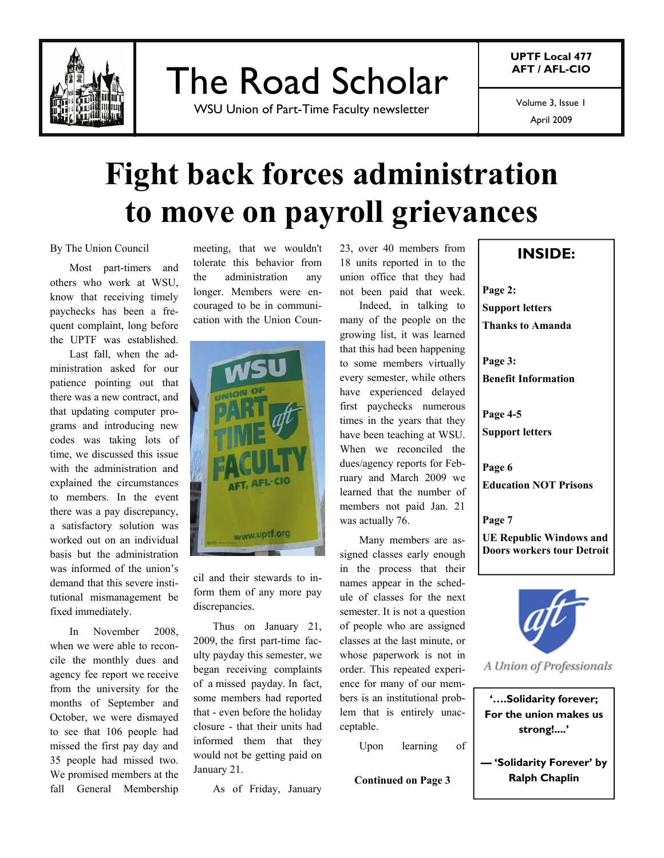

The Road Scholar

WSU Union of Part-Time Faculty newsletter

**UPTF Local 477 AFT / AFL-CIO** 

Volume 3, Issue 1

April 2009

# **Fight back forces administration to move on payroll grievances**

By The Union Council

 Most part-timers and others who work at WSU, know that receiving timely paychecks has been a frequent complaint, long before the UPTF was established.

 Last fall, when the administration asked for our patience pointing out that there was a new contract, and that updating computer programs and introducing new codes was taking lots of time, we discussed this issue with the administration and explained the circumstances to members. In the event there was a pay discrepancy, a satisfactory solution was worked out on an individual basis but the administration was informed of the union's demand that this severe institutional mismanagement be fixed immediately.

 In November 2008, when we were able to reconcile the monthly dues and agency fee report we receive from the university for the months of September and October, we were dismayed to see that 106 people had missed the first pay day and 35 people had missed two. We promised members at the fall General Membership

meeting, that we wouldn't tolerate this behavior from the administration any longer. Members were encouraged to be in communication with the Union Coun-



cil and their stewards to inform them of any more pay discrepancies.

 Thus on January 21, 2009, the first part-time faculty payday this semester, we began receiving complaints of a missed payday. In fact, some members had reported that - even before the holiday closure - that their units had informed them that they would not be getting paid on January 21.

As of Friday, January

23, over 40 members from 18 units reported in to the union office that they had not been paid that week.

 Indeed, in talking to many of the people on the growing list, it was learned that this had been happening to some members virtually every semester, while others have experienced delayed first paychecks numerous times in the years that they have been teaching at WSU. When we reconciled the dues/agency reports for February and March 2009 we learned that the number of members not paid Jan. 21 was actually 76.

 Many members are assigned classes early enough in the process that their names appear in the schedule of classes for the next semester. It is not a question of people who are assigned classes at the last minute, or whose paperwork is not in order. This repeated experience for many of our members is an institutional problem that is entirely unacceptable.

Upon learning of

### **INSIDE:**

**Page 2:** 

**Support letters** 

**Thanks to Amanda**

**Page 3:** 

**Benefit Information** 

**Page 4-5**

**Support letters** 

**Page 6 Education NOT Prisons** 

**Page 7** 

**UE Republic Windows and Doors workers tour Detroit** 



A Union of Professionals

**'….Solidarity forever; For the union makes us strong!....'** 

**— 'Solidarity Forever' by Continued on Page 3 Ralph Chaplin**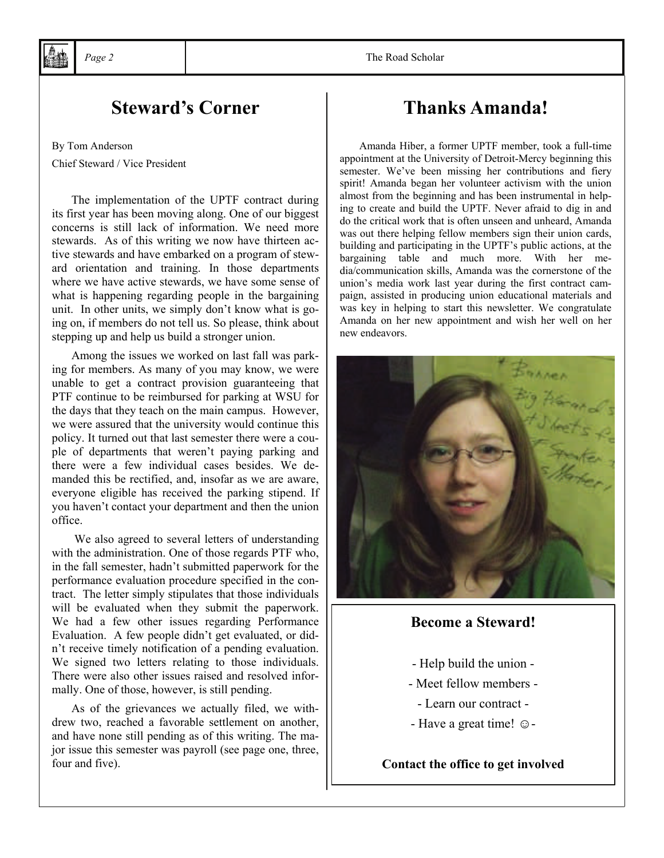## **Steward's Corner** Thanks Amanda!

By Tom Anderson Chief Steward / Vice President

The implementation of the UPTF contract during its first year has been moving along. One of our biggest concerns is still lack of information. We need more stewards. As of this writing we now have thirteen active stewards and have embarked on a program of steward orientation and training. In those departments where we have active stewards, we have some sense of what is happening regarding people in the bargaining unit. In other units, we simply don't know what is going on, if members do not tell us. So please, think about stepping up and help us build a stronger union.

 Among the issues we worked on last fall was parking for members. As many of you may know, we were unable to get a contract provision guaranteeing that PTF continue to be reimbursed for parking at WSU for the days that they teach on the main campus. However, we were assured that the university would continue this policy. It turned out that last semester there were a couple of departments that weren't paying parking and there were a few individual cases besides. We demanded this be rectified, and, insofar as we are aware, everyone eligible has received the parking stipend. If you haven't contact your department and then the union office.

 We also agreed to several letters of understanding with the administration. One of those regards PTF who, in the fall semester, hadn't submitted paperwork for the performance evaluation procedure specified in the contract. The letter simply stipulates that those individuals will be evaluated when they submit the paperwork. We had a few other issues regarding Performance Evaluation. A few people didn't get evaluated, or didn't receive timely notification of a pending evaluation. We signed two letters relating to those individuals. There were also other issues raised and resolved informally. One of those, however, is still pending.

 As of the grievances we actually filed, we withdrew two, reached a favorable settlement on another, and have none still pending as of this writing. The major issue this semester was payroll (see page one, three, four and five).

#### *Page 2* The Road Scholar

Amanda Hiber, a former UPTF member, took a full-time appointment at the University of Detroit-Mercy beginning this semester. We've been missing her contributions and fiery spirit! Amanda began her volunteer activism with the union almost from the beginning and has been instrumental in helping to create and build the UPTF. Never afraid to dig in and do the critical work that is often unseen and unheard, Amanda was out there helping fellow members sign their union cards, building and participating in the UPTF's public actions, at the bargaining table and much more. With her media/communication skills, Amanda was the cornerstone of the union's media work last year during the first contract campaign, assisted in producing union educational materials and was key in helping to start this newsletter. We congratulate Amanda on her new appointment and wish her well on her new endeavors.



#### **Become a Steward!**

- Help build the union -
- Meet fellow members
	- Learn our contract -
- Have a great time! ☺-

**Contact the office to get involved**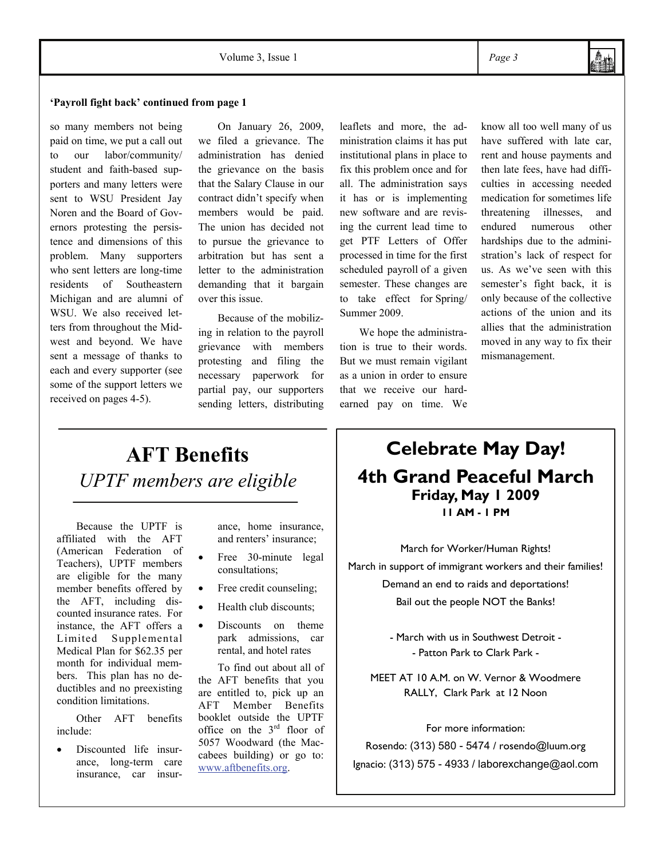#### **'Payroll fight back' continued from page 1**

so many members not being paid on time, we put a call out to our labor/community/ student and faith-based supporters and many letters were sent to WSU President Jay Noren and the Board of Governors protesting the persistence and dimensions of this problem. Many supporters who sent letters are long-time residents of Southeastern Michigan and are alumni of WSU. We also received letters from throughout the Midwest and beyond. We have sent a message of thanks to each and every supporter (see some of the support letters we received on pages 4-5).

 On January 26, 2009, we filed a grievance. The administration has denied the grievance on the basis that the Salary Clause in our contract didn't specify when members would be paid. The union has decided not to pursue the grievance to arbitration but has sent a letter to the administration demanding that it bargain over this issue.

 Because of the mobilizing in relation to the payroll grievance with members protesting and filing the necessary paperwork for partial pay, our supporters sending letters, distributing leaflets and more, the administration claims it has put institutional plans in place to fix this problem once and for all. The administration says it has or is implementing new software and are revising the current lead time to get PTF Letters of Offer processed in time for the first scheduled payroll of a given semester. These changes are to take effect for Spring/ Summer 2009.

 We hope the administration is true to their words. But we must remain vigilant as a union in order to ensure that we receive our hardearned pay on time. We

know all too well many of us have suffered with late car, rent and house payments and then late fees, have had difficulties in accessing needed medication for sometimes life threatening illnesses, and endured numerous other hardships due to the administration's lack of respect for us. As we've seen with this semester's fight back, it is only because of the collective actions of the union and its allies that the administration moved in any way to fix their mismanagement.

## **AFT Benefits**  *UPTF members are eligible*

Because the UPTF is affiliated with the AFT (American Federation of Teachers), UPTF members are eligible for the many member benefits offered by the AFT, including discounted insurance rates. For instance, the AFT offers a Limited Supplemental Medical Plan for \$62.35 per month for individual members. This plan has no deductibles and no preexisting condition limitations.

 Other AFT benefits include:

• Discounted life insurance, long-term care insurance, car insur-

ance, home insurance, and renters' insurance;

- Free 30-minute legal consultations;
- Free credit counseling;
- Health club discounts;
- Discounts on theme park admissions, car rental, and hotel rates

 To find out about all of the AFT benefits that you are entitled to, pick up an AFT Member Benefits booklet outside the UPTF office on the 3rd floor of 5057 Woodward (the Maccabees building) or go to: www.aftbenefits.org.

## **Celebrate May Day! 4th Grand Peaceful March Friday, May 1 2009 11 AM - 1 PM**

March for Worker/Human Rights! March in support of immigrant workers and their families! Demand an end to raids and deportations! Bail out the people NOT the Banks!

> - March with us in Southwest Detroit - - Patton Park to Clark Park -

MEET AT 10 A.M. on W. Vernor & Woodmere RALLY, Clark Park at 12 Noon

#### For more information:

Rosendo: (313) 580 - 5474 / rosendo@luum.org Ignacio: (313) 575 - 4933 / laborexchange@aol.com

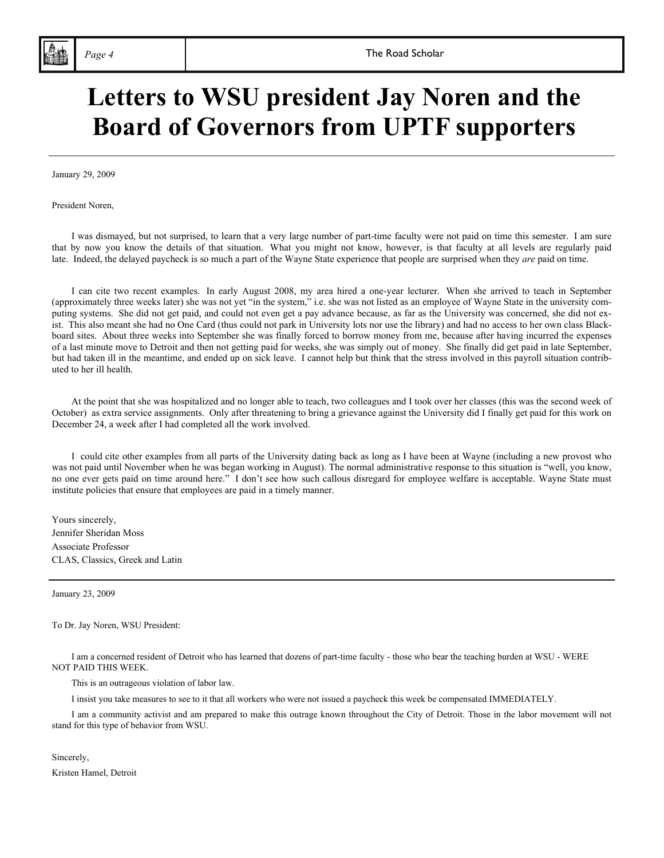# **Letters to WSU president Jay Noren and the Board of Governors from UPTF supporters**

January 29, 2009

President Noren,

 I was dismayed, but not surprised, to learn that a very large number of part-time faculty were not paid on time this semester. I am sure that by now you know the details of that situation. What you might not know, however, is that faculty at all levels are regularly paid late. Indeed, the delayed paycheck is so much a part of the Wayne State experience that people are surprised when they *are* paid on time.

 I can cite two recent examples. In early August 2008, my area hired a one-year lecturer. When she arrived to teach in September (approximately three weeks later) she was not yet "in the system," i.e. she was not listed as an employee of Wayne State in the university computing systems. She did not get paid, and could not even get a pay advance because, as far as the University was concerned, she did not exist. This also meant she had no One Card (thus could not park in University lots nor use the library) and had no access to her own class Blackboard sites. About three weeks into September she was finally forced to borrow money from me, because after having incurred the expenses of a last minute move to Detroit and then not getting paid for weeks, she was simply out of money. She finally did get paid in late September, but had taken ill in the meantime, and ended up on sick leave. I cannot help but think that the stress involved in this payroll situation contributed to her ill health.

 At the point that she was hospitalized and no longer able to teach, two colleagues and I took over her classes (this was the second week of October) as extra service assignments. Only after threatening to bring a grievance against the University did I finally get paid for this work on December 24, a week after I had completed all the work involved.

 I could cite other examples from all parts of the University dating back as long as I have been at Wayne (including a new provost who was not paid until November when he was began working in August). The normal administrative response to this situation is "well, you know, no one ever gets paid on time around here." I don't see how such callous disregard for employee welfare is acceptable. Wayne State must institute policies that ensure that employees are paid in a timely manner.

Yours sincerely, Jennifer Sheridan Moss Associate Professor CLAS, Classics, Greek and Latin

January 23, 2009

To Dr. Jay Noren, WSU President:

 I am a concerned resident of Detroit who has learned that dozens of part-time faculty - those who bear the teaching burden at WSU - WERE NOT PAID THIS WEEK.

This is an outrageous violation of labor law.

I insist you take measures to see to it that all workers who were not issued a paycheck this week be compensated IMMEDIATELY.

 I am a community activist and am prepared to make this outrage known throughout the City of Detroit. Those in the labor movement will not stand for this type of behavior from WSU.

#### Sincerely,

Kristen Hamel, Detroit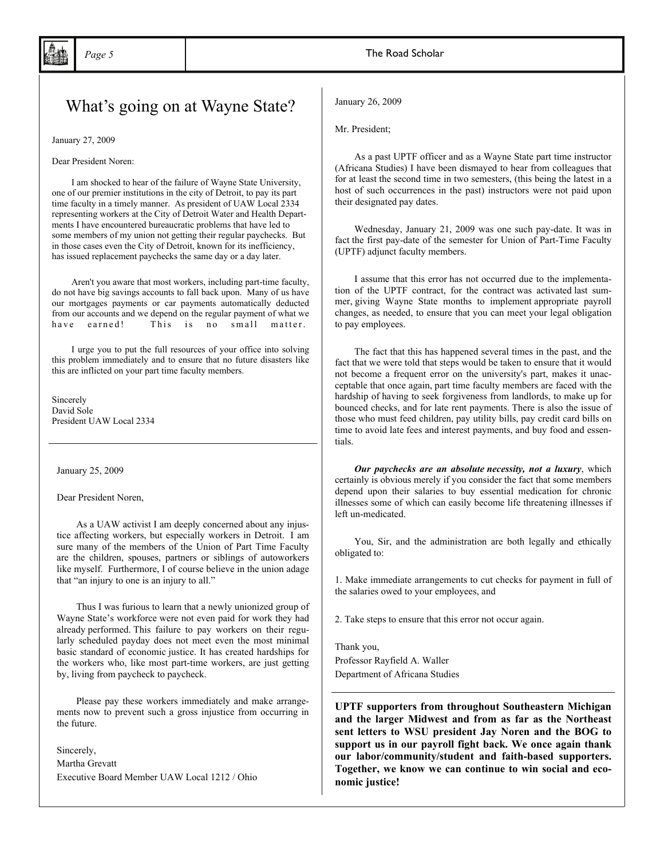## What's going on at Wayne State?

January 27, 2009

Dear President Noren:

 I am shocked to hear of the failure of Wayne State University, one of our premier institutions in the city of Detroit, to pay its part time faculty in a timely manner. As president of UAW Local 2334 representing workers at the City of Detroit Water and Health Departments I have encountered bureaucratic problems that have led to some members of my union not getting their regular paychecks. But in those cases even the City of Detroit, known for its inefficiency, has issued replacement paychecks the same day or a day later.

 Aren't you aware that most workers, including part-time faculty, do not have big savings accounts to fall back upon. Many of us have our mortgages payments or car payments automatically deducted from our accounts and we depend on the regular payment of what we have earned! This is no small matter.

 I urge you to put the full resources of your office into solving this problem immediately and to ensure that no future disasters like this are inflicted on your part time faculty members.

Sincerely David Sole President UAW Local 2334

January 25, 2009

Dear President Noren,

 As a UAW activist I am deeply concerned about any injustice affecting workers, but especially workers in Detroit. I am sure many of the members of the Union of Part Time Faculty are the children, spouses, partners or siblings of autoworkers like myself. Furthermore, I of course believe in the union adage that "an injury to one is an injury to all."

 Thus I was furious to learn that a newly unionized group of Wayne State's workforce were not even paid for work they had already performed. This failure to pay workers on their regularly scheduled payday does not meet even the most minimal basic standard of economic justice. It has created hardships for the workers who, like most part-time workers, are just getting by, living from paycheck to paycheck.

 Please pay these workers immediately and make arrangements now to prevent such a gross injustice from occurring in the future.

Sincerely,

Martha Grevatt Executive Board Member UAW Local 1212 / Ohio January 26, 2009

Mr. President;

 As a past UPTF officer and as a Wayne State part time instructor (Africana Studies) I have been dismayed to hear from colleagues that for at least the second time in two semesters, (this being the latest in a host of such occurrences in the past) instructors were not paid upon their designated pay dates.

 Wednesday, January 21, 2009 was one such pay-date. It was in fact the first pay-date of the semester for Union of Part-Time Faculty (UPTF) adjunct faculty members.

 I assume that this error has not occurred due to the implementation of the UPTF contract, for the contract was activated last summer, giving Wayne State months to implement appropriate payroll changes, as needed, to ensure that you can meet your legal obligation to pay employees.

 The fact that this has happened several times in the past, and the fact that we were told that steps would be taken to ensure that it would not become a frequent error on the university's part, makes it unacceptable that once again, part time faculty members are faced with the hardship of having to seek forgiveness from landlords, to make up for bounced checks, and for late rent payments. There is also the issue of those who must feed children, pay utility bills, pay credit card bills on time to avoid late fees and interest payments, and buy food and essentials.

 *Our paychecks are an absolute necessity, not a luxury*, which certainly is obvious merely if you consider the fact that some members depend upon their salaries to buy essential medication for chronic illnesses some of which can easily become life threatening illnesses if left un-medicated.

 You, Sir, and the administration are both legally and ethically obligated to:

1. Make immediate arrangements to cut checks for payment in full of the salaries owed to your employees, and

2. Take steps to ensure that this error not occur again.

Thank you, Professor Rayfield A. Waller Department of Africana Studies

**UPTF supporters from throughout Southeastern Michigan and the larger Midwest and from as far as the Northeast sent letters to WSU president Jay Noren and the BOG to support us in our payroll fight back. We once again thank our labor/community/student and faith-based supporters. Together, we know we can continue to win social and economic justice!**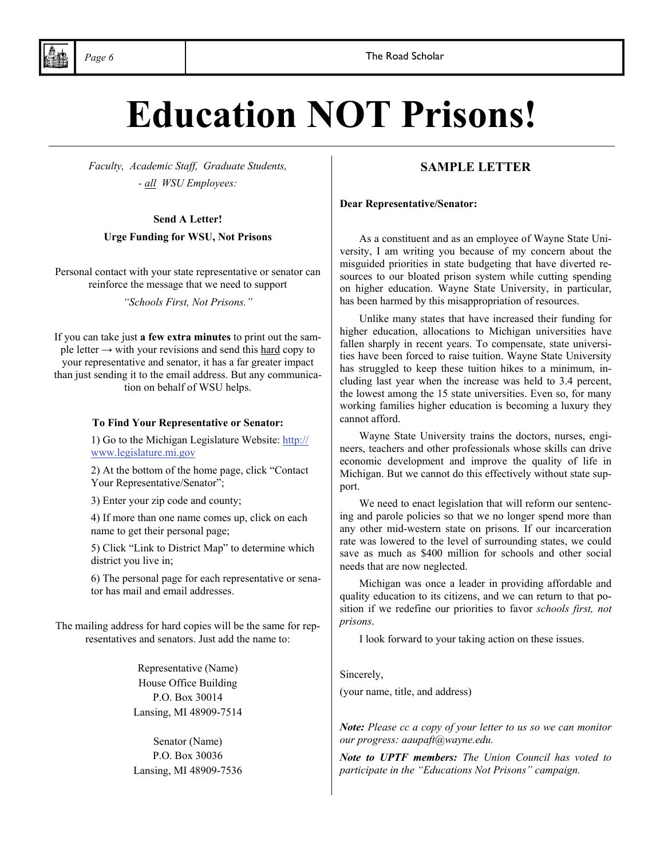# **Education NOT Prisons!**

*Faculty, Academic Staff, Graduate Students, - all WSU Employees:* 

#### **Send A Letter!**

#### **Urge Funding for WSU, Not Prisons**

Personal contact with your state representative or senator can reinforce the message that we need to support

*"Schools First, Not Prisons."*

If you can take just **a few extra minutes** to print out the sample letter  $\rightarrow$  with your revisions and send this hard copy to your representative and senator, it has a far greater impact than just sending it to the email address. But any communication on behalf of WSU helps.

#### **To Find Your Representative or Senator:**

1) Go to the Michigan Legislature Website: http:// www.legislature.mi.gov

2) At the bottom of the home page, click "Contact Your Representative/Senator";

3) Enter your zip code and county;

4) If more than one name comes up, click on each name to get their personal page;

5) Click "Link to District Map" to determine which district you live in;

6) The personal page for each representative or senator has mail and email addresses.

The mailing address for hard copies will be the same for representatives and senators. Just add the name to:

> Representative (Name) House Office Building P.O. Box 30014 Lansing, MI 48909-7514

Senator (Name) P.O. Box 30036 Lansing, MI 48909-7536

#### **SAMPLE LETTER**

**Dear Representative/Senator:** 

 As a constituent and as an employee of Wayne State University, I am writing you because of my concern about the misguided priorities in state budgeting that have diverted resources to our bloated prison system while cutting spending on higher education. Wayne State University, in particular, has been harmed by this misappropriation of resources.

 Unlike many states that have increased their funding for higher education, allocations to Michigan universities have fallen sharply in recent years. To compensate, state universities have been forced to raise tuition. Wayne State University has struggled to keep these tuition hikes to a minimum, including last year when the increase was held to 3.4 percent, the lowest among the 15 state universities. Even so, for many working families higher education is becoming a luxury they cannot afford.

 Wayne State University trains the doctors, nurses, engineers, teachers and other professionals whose skills can drive economic development and improve the quality of life in Michigan. But we cannot do this effectively without state support.

 We need to enact legislation that will reform our sentencing and parole policies so that we no longer spend more than any other mid-western state on prisons. If our incarceration rate was lowered to the level of surrounding states, we could save as much as \$400 million for schools and other social needs that are now neglected.

 Michigan was once a leader in providing affordable and quality education to its citizens, and we can return to that position if we redefine our priorities to favor *schools first, not prisons*.

I look forward to your taking action on these issues.

Sincerely,

(your name, title, and address)

*Note: Please cc a copy of your letter to us so we can monitor our progress: aaupaft@wayne.edu.* 

*Note to UPTF members: The Union Council has voted to participate in the "Educations Not Prisons" campaign.*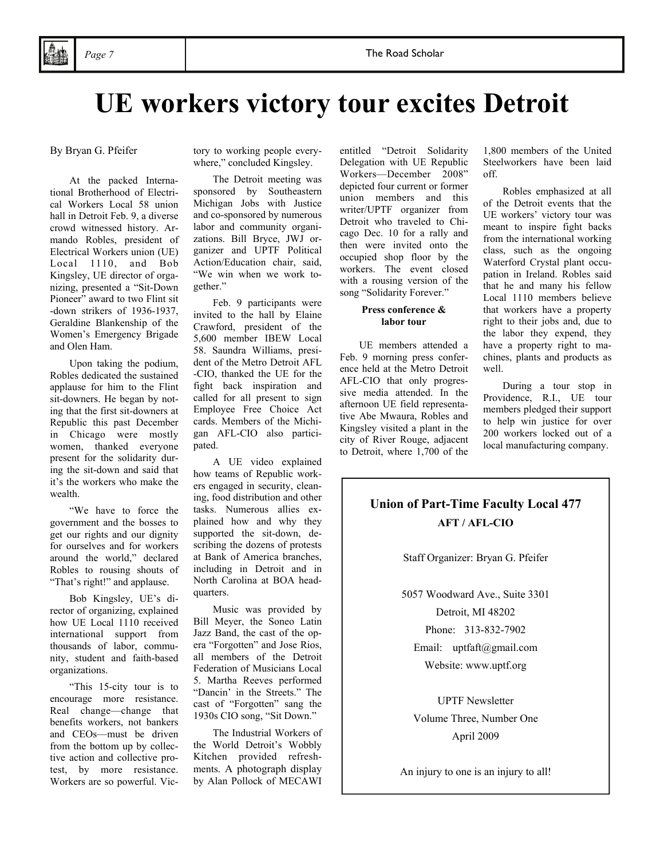## **UE workers victory tour excites Detroit**

By Bryan G. Pfeifer

 At the packed International Brotherhood of Electrical Workers Local 58 union hall in Detroit Feb. 9, a diverse crowd witnessed history. Armando Robles, president of Electrical Workers union (UE) Local 1110, and Bob Kingsley, UE director of organizing, presented a "Sit-Down Pioneer" award to two Flint sit -down strikers of 1936-1937, Geraldine Blankenship of the Women's Emergency Brigade and Olen Ham.

 Upon taking the podium, Robles dedicated the sustained applause for him to the Flint sit-downers. He began by noting that the first sit-downers at Republic this past December in Chicago were mostly women, thanked everyone present for the solidarity during the sit-down and said that it's the workers who make the wealth.

 "We have to force the government and the bosses to get our rights and our dignity for ourselves and for workers around the world," declared Robles to rousing shouts of "That's right!" and applause.

 Bob Kingsley, UE's director of organizing, explained how UE Local 1110 received international support from thousands of labor, community, student and faith-based organizations.

 "This 15-city tour is to encourage more resistance. Real change—change that benefits workers, not bankers and CEOs—must be driven from the bottom up by collective action and collective protest, by more resistance. Workers are so powerful. Victory to working people everywhere," concluded Kingsley.

 The Detroit meeting was sponsored by Southeastern Michigan Jobs with Justice and co-sponsored by numerous labor and community organizations. Bill Bryce, JWJ organizer and UPTF Political Action/Education chair, said, "We win when we work together."

 Feb. 9 participants were invited to the hall by Elaine Crawford, president of the 5,600 member IBEW Local 58. Saundra Williams, president of the Metro Detroit AFL -CIO, thanked the UE for the fight back inspiration and called for all present to sign Employee Free Choice Act cards. Members of the Michigan AFL-CIO also participated.

 A UE video explained how teams of Republic workers engaged in security, cleaning, food distribution and other tasks. Numerous allies explained how and why they supported the sit-down, describing the dozens of protests at Bank of America branches, including in Detroit and in North Carolina at BOA headquarters.

 Music was provided by Bill Meyer, the Soneo Latin Jazz Band, the cast of the opera "Forgotten" and Jose Rios, all members of the Detroit Federation of Musicians Local 5. Martha Reeves performed "Dancin' in the Streets." The cast of "Forgotten" sang the 1930s CIO song, "Sit Down."

 The Industrial Workers of the World Detroit's Wobbly Kitchen provided refreshments. A photograph display by Alan Pollock of MECAWI

entitled "Detroit Solidarity Delegation with UE Republic Workers—December 2008" depicted four current or former union members and this writer/UPTF organizer from Detroit who traveled to Chicago Dec. 10 for a rally and then were invited onto the occupied shop floor by the workers. The event closed with a rousing version of the song "Solidarity Forever."

#### **Press conference & labor tour**

 UE members attended a Feb. 9 morning press conference held at the Metro Detroit AFL-CIO that only progressive media attended. In the afternoon UE field representative Abe Mwaura, Robles and Kingsley visited a plant in the city of River Rouge, adjacent to Detroit, where 1,700 of the

1,800 members of the United Steelworkers have been laid off.

 Robles emphasized at all of the Detroit events that the UE workers' victory tour was meant to inspire fight backs from the international working class, such as the ongoing Waterford Crystal plant occupation in Ireland. Robles said that he and many his fellow Local 1110 members believe that workers have a property right to their jobs and, due to the labor they expend, they have a property right to machines, plants and products as well.

 During a tour stop in Providence, R.I., UE tour members pledged their support to help win justice for over 200 workers locked out of a local manufacturing company.

## **Union of Part-Time Faculty Local 477 AFT / AFL-CIO**

Staff Organizer: Bryan G. Pfeifer

5057 Woodward Ave., Suite 3301 Detroit, MI 48202

Phone: 313-832-7902

Email: uptfaft@gmail.com Website: www.uptf.org

UPTF Newsletter Volume Three, Number One April 2009

An injury to one is an injury to all!